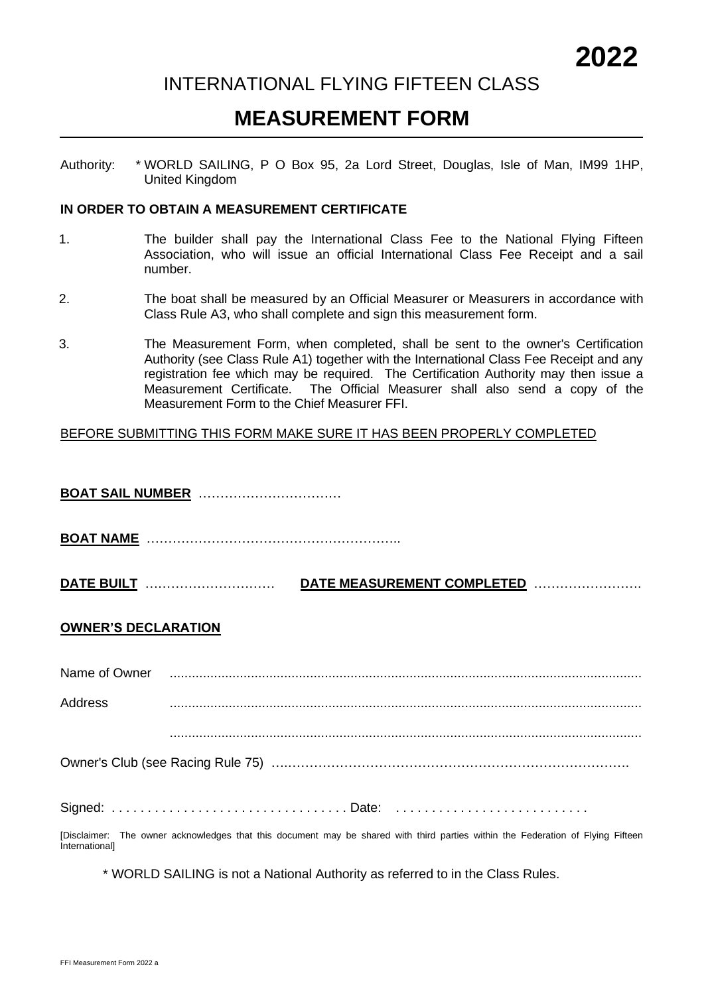### INTERNATIONAL FLYING FIFTEEN CLASS

## **MEASUREMENT FORM**

Authority: \* WORLD SAILING, P O Box 95, 2a Lord Street, Douglas, Isle of Man, IM99 1HP, United Kingdom

#### **IN ORDER TO OBTAIN A MEASUREMENT CERTIFICATE**

- 1. The builder shall pay the International Class Fee to the National Flying Fifteen Association, who will issue an official International Class Fee Receipt and a sail number.
- 2. The boat shall be measured by an Official Measurer or Measurers in accordance with Class Rule A3, who shall complete and sign this measurement form.
- 3. The Measurement Form, when completed, shall be sent to the owner's Certification Authority (see Class Rule A1) together with the International Class Fee Receipt and any registration fee which may be required. The Certification Authority may then issue a Measurement Certificate. The Official Measurer shall also send a copy of the Measurement Form to the Chief Measurer FFI.

#### BEFORE SUBMITTING THIS FORM MAKE SURE IT HAS BEEN PROPERLY COMPLETED

**BOAT SAIL NUMBER** ……………………………

**BOAT NAME** …………………………………………………..

**DATE BUILT** ………………………… **DATE MEASUREMENT COMPLETED** …………………….

#### **OWNER'S DECLARATION**

|                | Name of Owner <b>construents</b> and construction of Owner construction of Owner construction of Owner construction of          |
|----------------|---------------------------------------------------------------------------------------------------------------------------------|
| <b>Address</b> |                                                                                                                                 |
|                |                                                                                                                                 |
|                | Signed: Date:                                                                                                                   |
|                | [Disclaimer: The owner acknowledges that this document may be shared with third parties within the Federation of Flying Fifteen |
| Internationall |                                                                                                                                 |

\* WORLD SAILING is not a National Authority as referred to in the Class Rules.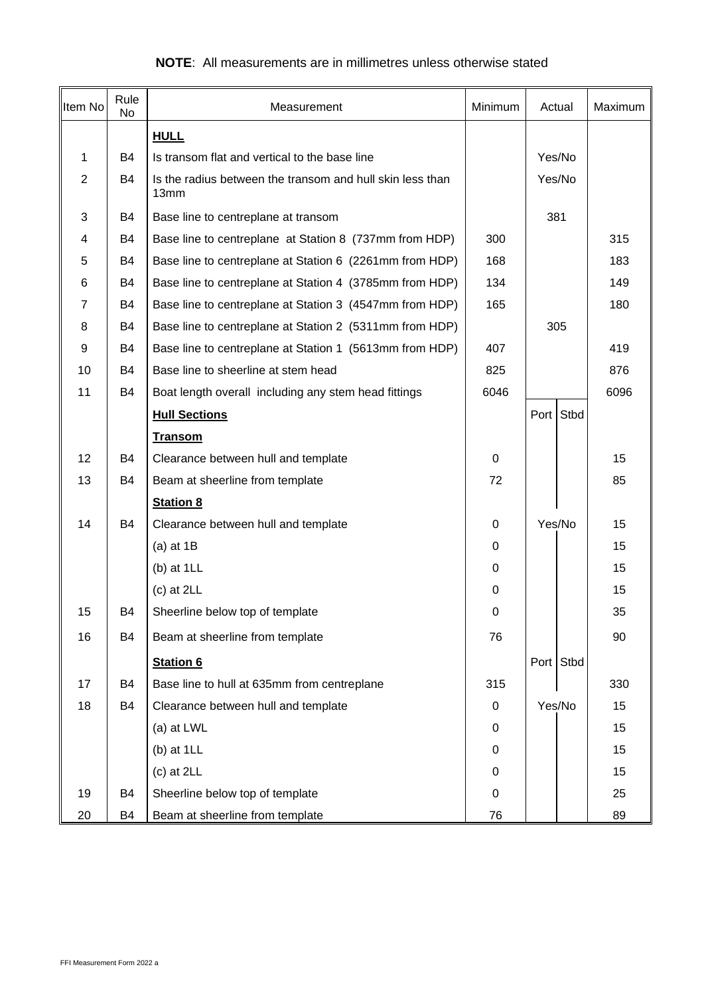| Item No        | Rule<br>No | Measurement                                                       | Minimum     | Actual    |      |      |
|----------------|------------|-------------------------------------------------------------------|-------------|-----------|------|------|
|                |            | <b>HULL</b>                                                       |             |           |      |      |
| 1              | B4         | Is transom flat and vertical to the base line                     |             | Yes/No    |      |      |
| $\overline{2}$ | B4         | Is the radius between the transom and hull skin less than<br>13mm |             | Yes/No    |      |      |
| 3              | <b>B4</b>  | Base line to centreplane at transom                               |             | 381       |      |      |
| 4              | B4         | Base line to centreplane at Station 8 (737mm from HDP)            | 300         |           |      | 315  |
| 5              | <b>B4</b>  | Base line to centreplane at Station 6 (2261mm from HDP)           | 168         |           |      | 183  |
| 6              | <b>B4</b>  | Base line to centreplane at Station 4 (3785mm from HDP)           | 134         |           |      | 149  |
| 7              | B4         | Base line to centreplane at Station 3 (4547mm from HDP)           | 165         |           |      | 180  |
| 8              | B4         | Base line to centreplane at Station 2 (5311mm from HDP)           |             | 305       |      |      |
| 9              | B4         | Base line to centreplane at Station 1 (5613mm from HDP)           | 407         |           |      | 419  |
| 10             | B4         | Base line to sheerline at stem head                               | 825         |           |      | 876  |
| 11             | B4         | Boat length overall including any stem head fittings              | 6046        |           |      | 6096 |
|                |            | <b>Hull Sections</b>                                              |             | Port      | Stbd |      |
|                |            | <b>Transom</b>                                                    |             |           |      |      |
| 12             | <b>B4</b>  | Clearance between hull and template                               | 0           |           |      | 15   |
| 13             | B4         | Beam at sheerline from template                                   | 72          |           |      | 85   |
|                |            | <b>Station 8</b>                                                  |             |           |      |      |
| 14             | B4         | Clearance between hull and template                               | 0           | Yes/No    |      | 15   |
|                |            | (a) at $1B$                                                       | 0           |           |      | 15   |
|                |            | (b) at $1LL$                                                      | 0           |           |      | 15   |
|                |            | $(c)$ at 2LL                                                      | 0           |           |      | 15   |
| 15             | B4         | Sheerline below top of template                                   | 0           |           |      | 35   |
| 16             | <b>B4</b>  | Beam at sheerline from template                                   | 76          |           |      | 90   |
|                |            | <b>Station 6</b>                                                  |             | Port Stbd |      |      |
| 17             | B4         | Base line to hull at 635mm from centreplane                       | 315         |           |      | 330  |
| 18             | B4         | Clearance between hull and template                               | $\mathbf 0$ | Yes/No    |      | 15   |
|                |            | (a) at LWL                                                        | 0           |           |      | 15   |
|                |            | $(b)$ at $1LL$                                                    | $\mathbf 0$ |           |      | 15   |
|                |            | $(c)$ at 2LL                                                      | 0           |           |      | 15   |
| 19             | <b>B4</b>  | Sheerline below top of template                                   | 0           |           |      | 25   |
| 20             | B4         | Beam at sheerline from template                                   | 76          |           |      | 89   |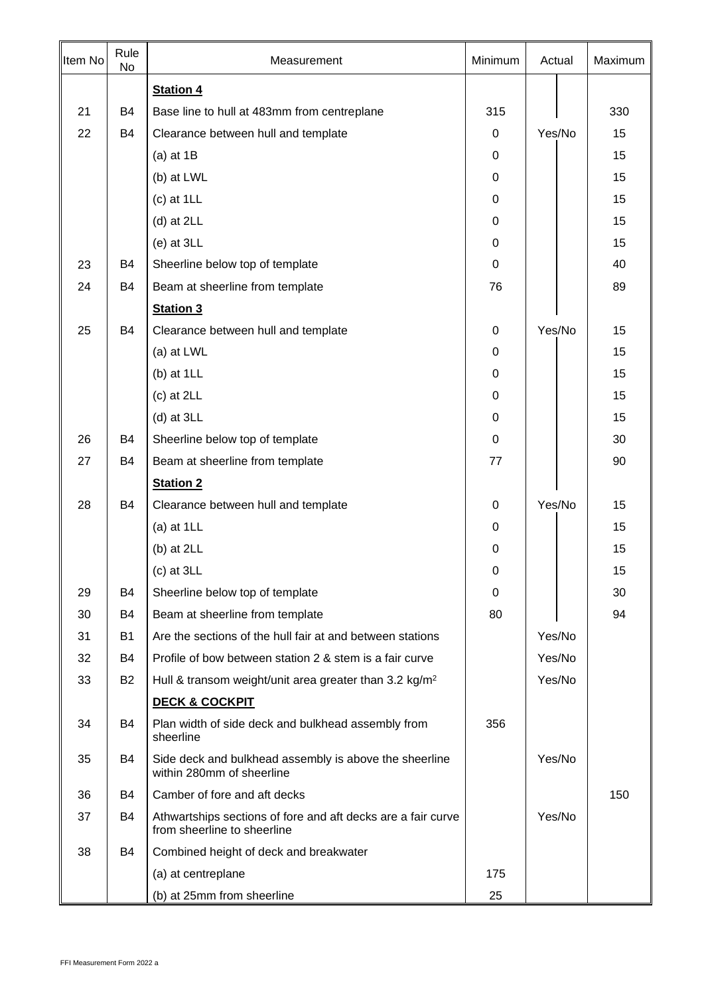| Item No | Rule<br>No | Measurement                                                                                 | Minimum     | Actual | Maximum |
|---------|------------|---------------------------------------------------------------------------------------------|-------------|--------|---------|
|         |            | <b>Station 4</b>                                                                            |             |        |         |
| 21      | <b>B4</b>  | Base line to hull at 483mm from centreplane                                                 | 315         |        | 330     |
| 22      | B4         | Clearance between hull and template                                                         | 0           | Yes/No | 15      |
|         |            | (a) at $1B$                                                                                 | $\mathbf 0$ |        | 15      |
|         |            | (b) at LWL                                                                                  | $\mathbf 0$ |        | 15      |
|         |            | $(c)$ at $1LL$                                                                              | 0           |        | 15      |
|         |            | $(d)$ at 2LL                                                                                | 0           |        | 15      |
|         |            | $(e)$ at $3LL$                                                                              | 0           |        | 15      |
| 23      | B4         | Sheerline below top of template                                                             | $\mathbf 0$ |        | 40      |
| 24      | <b>B4</b>  | Beam at sheerline from template                                                             | 76          |        | 89      |
|         |            | <b>Station 3</b>                                                                            |             |        |         |
| 25      | <b>B4</b>  | Clearance between hull and template                                                         | 0           | Yes/No | 15      |
|         |            | (a) at LWL                                                                                  | $\mathbf 0$ |        | 15      |
|         |            | $(b)$ at $1LL$                                                                              | $\mathbf 0$ |        | 15      |
|         |            | $(c)$ at 2LL                                                                                | $\mathbf 0$ |        | 15      |
|         |            | $(d)$ at $3LL$                                                                              | 0           |        | 15      |
| 26      | B4         | Sheerline below top of template                                                             | $\mathbf 0$ |        | 30      |
| 27      | B4         | Beam at sheerline from template                                                             | 77          |        | 90      |
|         |            | <b>Station 2</b>                                                                            |             |        |         |
| 28      | B4         | Clearance between hull and template                                                         | $\mathbf 0$ | Yes/No | 15      |
|         |            | (a) at $1LL$                                                                                | 0           |        | 15      |
|         |            | (b) at 2LL                                                                                  | 0           |        | 15      |
|         |            | $(c)$ at $3LL$                                                                              | 0           |        | 15      |
| 29      | <b>B4</b>  | Sheerline below top of template                                                             | $\mathbf 0$ |        | 30      |
| 30      | B4         | Beam at sheerline from template                                                             | 80          |        | 94      |
| 31      | <b>B1</b>  | Are the sections of the hull fair at and between stations                                   |             | Yes/No |         |
| 32      | B4         | Profile of bow between station 2 & stem is a fair curve                                     |             | Yes/No |         |
| 33      | <b>B2</b>  | Hull & transom weight/unit area greater than 3.2 kg/m <sup>2</sup>                          |             | Yes/No |         |
|         |            | <b>DECK &amp; COCKPIT</b>                                                                   |             |        |         |
| 34      | <b>B4</b>  | Plan width of side deck and bulkhead assembly from<br>sheerline                             | 356         |        |         |
| 35      | B4         | Side deck and bulkhead assembly is above the sheerline<br>within 280mm of sheerline         |             | Yes/No |         |
| 36      | B4         | Camber of fore and aft decks                                                                |             |        | 150     |
| 37      | B4         | Athwartships sections of fore and aft decks are a fair curve<br>from sheerline to sheerline |             | Yes/No |         |
| 38      | B4         | Combined height of deck and breakwater                                                      |             |        |         |
|         |            | (a) at centreplane                                                                          | 175         |        |         |
|         |            | (b) at 25mm from sheerline                                                                  | 25          |        |         |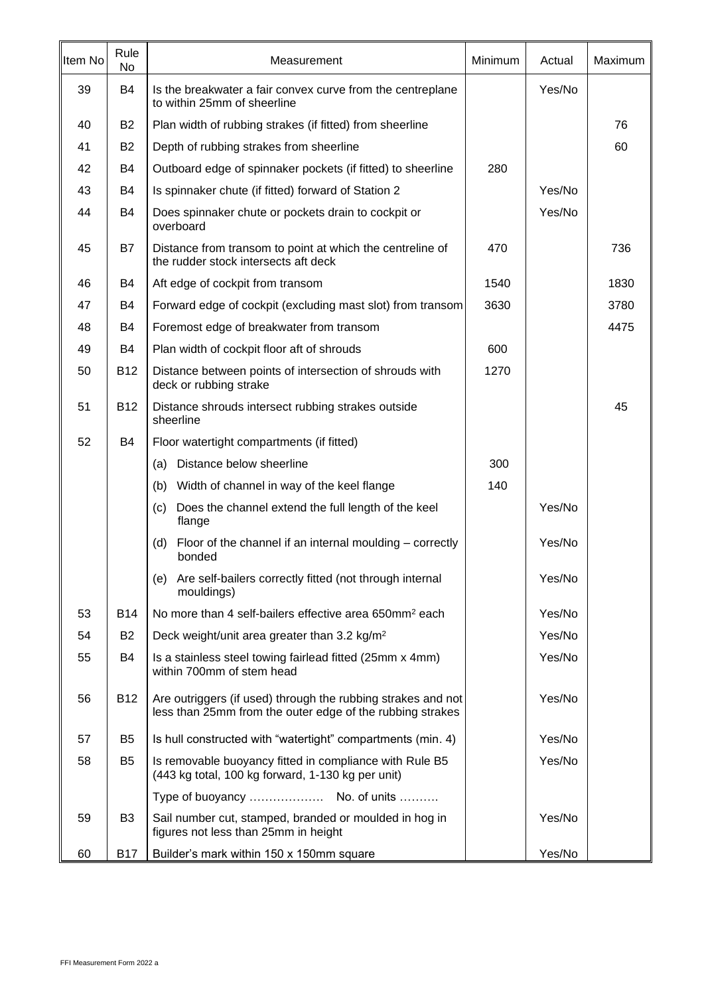| Item No | Rule<br>No     | Measurement                                                                                                               | Minimum | Actual | <b>Maximum</b> |
|---------|----------------|---------------------------------------------------------------------------------------------------------------------------|---------|--------|----------------|
| 39      | <b>B4</b>      | Is the breakwater a fair convex curve from the centreplane<br>to within 25mm of sheerline                                 |         | Yes/No |                |
| 40      | <b>B2</b>      | Plan width of rubbing strakes (if fitted) from sheerline                                                                  |         |        | 76             |
| 41      | <b>B2</b>      | Depth of rubbing strakes from sheerline                                                                                   |         |        | 60             |
| 42      | B4             | Outboard edge of spinnaker pockets (if fitted) to sheerline                                                               | 280     |        |                |
| 43      | B4             | Is spinnaker chute (if fitted) forward of Station 2                                                                       |         | Yes/No |                |
| 44      | B4             | Does spinnaker chute or pockets drain to cockpit or<br>overboard                                                          |         | Yes/No |                |
| 45      | B7             | Distance from transom to point at which the centreline of<br>the rudder stock intersects aft deck                         | 470     |        | 736            |
| 46      | B4             | Aft edge of cockpit from transom                                                                                          | 1540    |        | 1830           |
| 47      | B4             | Forward edge of cockpit (excluding mast slot) from transom                                                                | 3630    |        | 3780           |
| 48      | B4             | Foremost edge of breakwater from transom                                                                                  |         |        | 4475           |
| 49      | B4             | Plan width of cockpit floor aft of shrouds                                                                                | 600     |        |                |
| 50      | <b>B12</b>     | Distance between points of intersection of shrouds with<br>deck or rubbing strake                                         | 1270    |        |                |
| 51      | <b>B12</b>     | Distance shrouds intersect rubbing strakes outside<br>sheerline                                                           |         |        | 45             |
| 52      | B4             | Floor watertight compartments (if fitted)                                                                                 |         |        |                |
|         |                | Distance below sheerline<br>(a)                                                                                           | 300     |        |                |
|         |                | Width of channel in way of the keel flange<br>(b)                                                                         | 140     |        |                |
|         |                | Does the channel extend the full length of the keel<br>(c)<br>flange                                                      |         | Yes/No |                |
|         |                | Floor of the channel if an internal moulding – correctly<br>(d)<br>bonded                                                 |         | Yes/No |                |
|         |                | Are self-bailers correctly fitted (not through internal<br>(e)<br>mouldings)                                              |         | Yes/No |                |
| 53      | <b>B14</b>     | No more than 4 self-bailers effective area 650mm <sup>2</sup> each                                                        |         | Yes/No |                |
| 54      | <b>B2</b>      | Deck weight/unit area greater than 3.2 kg/m <sup>2</sup>                                                                  |         | Yes/No |                |
| 55      | <b>B4</b>      | Is a stainless steel towing fairlead fitted (25mm x 4mm)<br>within 700mm of stem head                                     |         | Yes/No |                |
| 56      | <b>B12</b>     | Are outriggers (if used) through the rubbing strakes and not<br>less than 25mm from the outer edge of the rubbing strakes |         | Yes/No |                |
| 57      | B <sub>5</sub> | Is hull constructed with "watertight" compartments (min. 4)                                                               |         | Yes/No |                |
| 58      | B <sub>5</sub> | Is removable buoyancy fitted in compliance with Rule B5<br>(443 kg total, 100 kg forward, 1-130 kg per unit)              |         | Yes/No |                |
|         |                | Type of buoyancy  No. of units                                                                                            |         |        |                |
| 59      | B <sub>3</sub> | Sail number cut, stamped, branded or moulded in hog in<br>figures not less than 25mm in height                            |         | Yes/No |                |
| 60      | <b>B17</b>     | Builder's mark within 150 x 150mm square                                                                                  |         | Yes/No |                |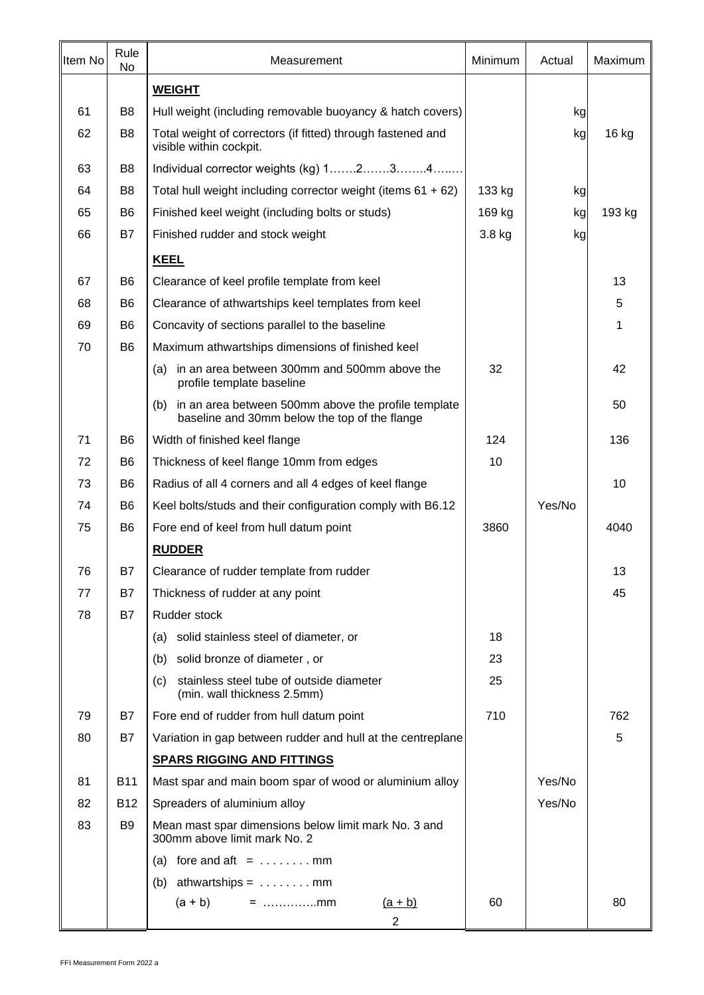| Item No | Rule<br>No     | Minimum<br>Measurement                                                                                      |        | Actual | Maximum |
|---------|----------------|-------------------------------------------------------------------------------------------------------------|--------|--------|---------|
|         |                | <b>WEIGHT</b>                                                                                               |        |        |         |
| 61      | B <sub>8</sub> | Hull weight (including removable buoyancy & hatch covers)                                                   |        | kg     |         |
| 62      | B <sub>8</sub> | Total weight of correctors (if fitted) through fastened and<br>visible within cockpit.                      |        | kg     | 16 kg   |
| 63      | B <sub>8</sub> | Individual corrector weights (kg) 1234                                                                      |        |        |         |
| 64      | B <sub>8</sub> | Total hull weight including corrector weight (items $61 + 62$ )                                             | 133 kg | kg     |         |
| 65      | B <sub>6</sub> | Finished keel weight (including bolts or studs)                                                             | 169 kg | kg     | 193 kg  |
| 66      | <b>B7</b>      | Finished rudder and stock weight                                                                            | 3.8 kg | kg     |         |
|         |                | <b>KEEL</b>                                                                                                 |        |        |         |
| 67      | B <sub>6</sub> | Clearance of keel profile template from keel                                                                |        |        | 13      |
| 68      | B <sub>6</sub> | Clearance of athwartships keel templates from keel                                                          |        |        | 5       |
| 69      | B <sub>6</sub> | Concavity of sections parallel to the baseline                                                              |        |        | 1       |
| 70      | B <sub>6</sub> | Maximum athwartships dimensions of finished keel                                                            |        |        |         |
|         |                | in an area between 300mm and 500mm above the<br>(a)<br>profile template baseline                            | 32     |        | 42      |
|         |                | in an area between 500mm above the profile template<br>(b)<br>baseline and 30mm below the top of the flange |        |        | 50      |
| 71      | B <sub>6</sub> | Width of finished keel flange                                                                               | 124    |        | 136     |
| 72      | B <sub>6</sub> | Thickness of keel flange 10mm from edges                                                                    | 10     |        |         |
| 73      | B <sub>6</sub> | Radius of all 4 corners and all 4 edges of keel flange                                                      |        |        | 10      |
| 74      | B <sub>6</sub> | Keel bolts/studs and their configuration comply with B6.12                                                  |        | Yes/No |         |
| 75      | B <sub>6</sub> | Fore end of keel from hull datum point                                                                      | 3860   |        | 4040    |
|         |                | <b>RUDDER</b>                                                                                               |        |        |         |
| 76      | <b>B7</b>      | Clearance of rudder template from rudder                                                                    |        |        | 13      |
| 77      | B7             | Thickness of rudder at any point                                                                            |        |        | 45      |
| 78      | B7             | Rudder stock                                                                                                |        |        |         |
|         |                | solid stainless steel of diameter, or<br>(a)                                                                | 18     |        |         |
|         |                | solid bronze of diameter, or<br>(b)                                                                         | 23     |        |         |
|         |                | stainless steel tube of outside diameter<br>(c)<br>(min. wall thickness 2.5mm)                              | 25     |        |         |
| 79      | B7             | Fore end of rudder from hull datum point                                                                    | 710    |        | 762     |
| 80      | <b>B7</b>      | Variation in gap between rudder and hull at the centreplane                                                 |        |        | 5       |
|         |                | <b>SPARS RIGGING AND FITTINGS</b>                                                                           |        |        |         |
| 81      | <b>B11</b>     | Mast spar and main boom spar of wood or aluminium alloy                                                     |        | Yes/No |         |
| 82      | <b>B12</b>     | Spreaders of aluminium alloy                                                                                |        | Yes/No |         |
| 83      | B9             | Mean mast spar dimensions below limit mark No. 3 and<br>300mm above limit mark No. 2                        |        |        |         |
|         |                | fore and $\text{aft} = \ldots \ldots \ldots$ mm<br>(a)                                                      |        |        |         |
|         |                | (b) athwartships = $\dots \dots$ mm                                                                         |        |        |         |
|         |                | $(a + b)$<br>$=$ mm<br><u>(a + b)</u><br>$\overline{2}$                                                     | 60     |        | 80      |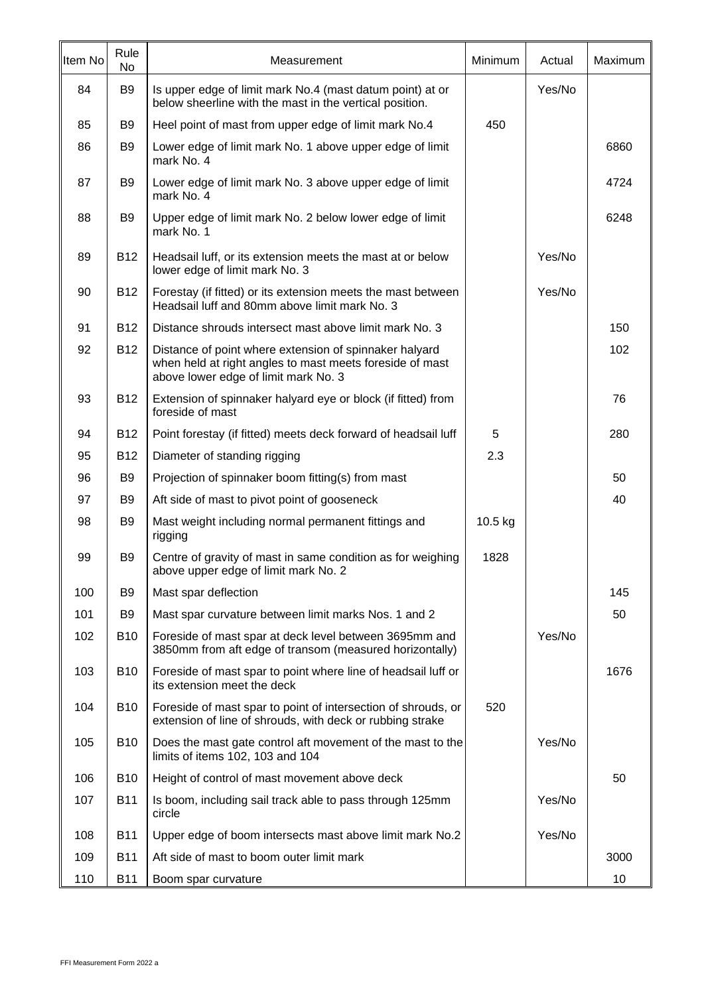| Item No | Rule<br>No     | Measurement                                                                                                                                                | Minimum | Actual | Maximum |
|---------|----------------|------------------------------------------------------------------------------------------------------------------------------------------------------------|---------|--------|---------|
| 84      | B <sub>9</sub> | Is upper edge of limit mark No.4 (mast datum point) at or<br>below sheerline with the mast in the vertical position.                                       |         | Yes/No |         |
| 85      | B <sub>9</sub> | Heel point of mast from upper edge of limit mark No.4                                                                                                      | 450     |        |         |
| 86      | B <sub>9</sub> | Lower edge of limit mark No. 1 above upper edge of limit<br>mark No. 4                                                                                     |         |        | 6860    |
| 87      | B <sub>9</sub> | Lower edge of limit mark No. 3 above upper edge of limit<br>mark No. 4                                                                                     |         |        | 4724    |
| 88      | B <sub>9</sub> | Upper edge of limit mark No. 2 below lower edge of limit<br>mark No. 1                                                                                     |         |        | 6248    |
| 89      | <b>B12</b>     | Headsail luff, or its extension meets the mast at or below<br>lower edge of limit mark No. 3                                                               |         | Yes/No |         |
| 90      | <b>B12</b>     | Forestay (if fitted) or its extension meets the mast between<br>Headsail luff and 80mm above limit mark No. 3                                              |         | Yes/No |         |
| 91      | <b>B12</b>     | Distance shrouds intersect mast above limit mark No. 3                                                                                                     |         |        | 150     |
| 92      | <b>B12</b>     | Distance of point where extension of spinnaker halyard<br>when held at right angles to mast meets foreside of mast<br>above lower edge of limit mark No. 3 |         |        | 102     |
| 93      | <b>B12</b>     | Extension of spinnaker halyard eye or block (if fitted) from<br>foreside of mast                                                                           |         |        | 76      |
| 94      | <b>B12</b>     | Point forestay (if fitted) meets deck forward of headsail luff                                                                                             | 5       |        | 280     |
| 95      | <b>B12</b>     | Diameter of standing rigging                                                                                                                               | 2.3     |        |         |
| 96      | B <sub>9</sub> | Projection of spinnaker boom fitting(s) from mast                                                                                                          |         |        | 50      |
| 97      | B <sub>9</sub> | Aft side of mast to pivot point of gooseneck                                                                                                               |         |        | 40      |
| 98      | B <sub>9</sub> | Mast weight including normal permanent fittings and<br>rigging                                                                                             | 10.5 kg |        |         |
| 99      | B <sub>9</sub> | Centre of gravity of mast in same condition as for weighing<br>above upper edge of limit mark No. 2                                                        | 1828    |        |         |
| 100     | B <sub>9</sub> | Mast spar deflection                                                                                                                                       |         |        | 145     |
| 101     | B <sub>9</sub> | Mast spar curvature between limit marks Nos. 1 and 2                                                                                                       |         |        | 50      |
| 102     | <b>B10</b>     | Foreside of mast spar at deck level between 3695mm and<br>3850mm from aft edge of transom (measured horizontally)                                          |         | Yes/No |         |
| 103     | <b>B10</b>     | Foreside of mast spar to point where line of headsail luff or<br>its extension meet the deck                                                               |         |        | 1676    |
| 104     | <b>B10</b>     | Foreside of mast spar to point of intersection of shrouds, or<br>extension of line of shrouds, with deck or rubbing strake                                 | 520     |        |         |
| 105     | <b>B10</b>     | Does the mast gate control aft movement of the mast to the<br>limits of items 102, 103 and 104                                                             |         | Yes/No |         |
| 106     | <b>B10</b>     | Height of control of mast movement above deck                                                                                                              |         |        | 50      |
| 107     | <b>B11</b>     | Is boom, including sail track able to pass through 125mm<br>circle                                                                                         |         | Yes/No |         |
| 108     | <b>B11</b>     | Upper edge of boom intersects mast above limit mark No.2                                                                                                   |         | Yes/No |         |
| 109     | <b>B11</b>     | Aft side of mast to boom outer limit mark                                                                                                                  |         |        | 3000    |
| 110     | <b>B11</b>     | Boom spar curvature                                                                                                                                        |         |        | 10      |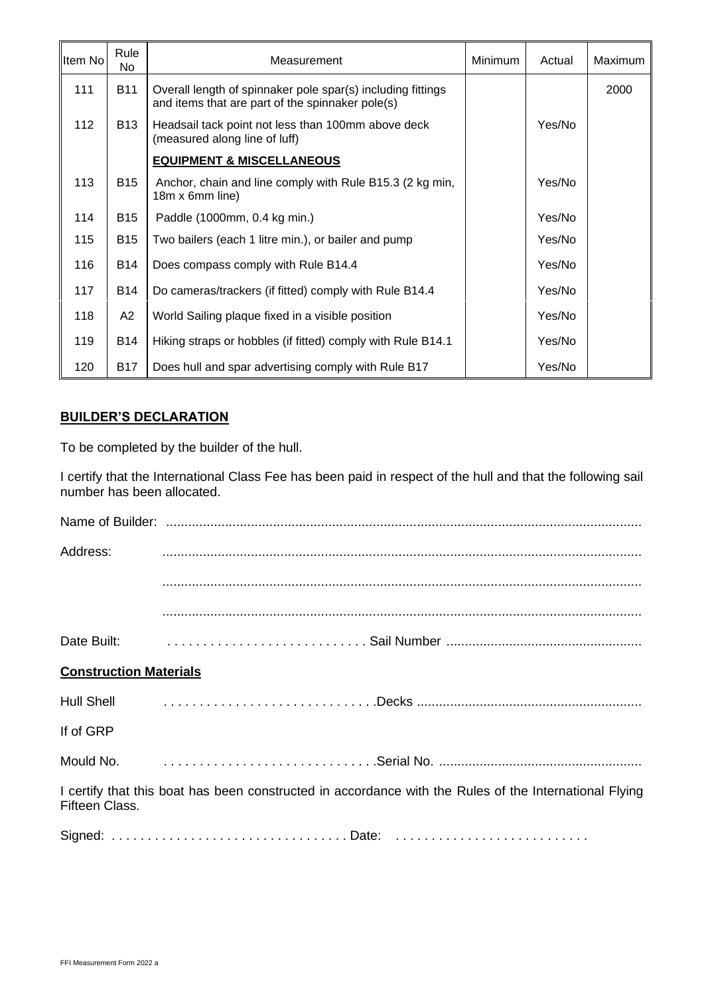| Item No | Rule<br>No | Measurement                                                                                                     | <b>Minimum</b> | Actual | Maximum |
|---------|------------|-----------------------------------------------------------------------------------------------------------------|----------------|--------|---------|
| 111     | <b>B11</b> | Overall length of spinnaker pole spar(s) including fittings<br>and items that are part of the spinnaker pole(s) |                |        | 2000    |
| 112     | <b>B13</b> | Headsail tack point not less than 100mm above deck<br>(measured along line of luff)                             |                | Yes/No |         |
|         |            | <b>EQUIPMENT &amp; MISCELLANEOUS</b>                                                                            |                |        |         |
| 113     | <b>B15</b> | Anchor, chain and line comply with Rule B15.3 (2 kg min,<br>18m x 6mm line)                                     |                | Yes/No |         |
| 114     | <b>B15</b> | Paddle (1000mm, 0.4 kg min.)                                                                                    |                | Yes/No |         |
| 115     | <b>B15</b> | Two bailers (each 1 litre min.), or bailer and pump                                                             |                | Yes/No |         |
| 116     | <b>B14</b> | Does compass comply with Rule B14.4                                                                             |                | Yes/No |         |
| 117     | <b>B14</b> | Do cameras/trackers (if fitted) comply with Rule B14.4                                                          |                | Yes/No |         |
| 118     | A2         | World Sailing plaque fixed in a visible position                                                                |                | Yes/No |         |
| 119     | <b>B14</b> | Hiking straps or hobbles (if fitted) comply with Rule B14.1                                                     |                | Yes/No |         |
| 120     | <b>B17</b> | Does hull and spar advertising comply with Rule B17                                                             |                | Yes/No |         |

#### **BUILDER'S DECLARATION**

To be completed by the builder of the hull.

I certify that the International Class Fee has been paid in respect of the hull and that the following sail number has been allocated.

| Address:                      |                                                                                                                                                                                                                                           |
|-------------------------------|-------------------------------------------------------------------------------------------------------------------------------------------------------------------------------------------------------------------------------------------|
|                               |                                                                                                                                                                                                                                           |
|                               |                                                                                                                                                                                                                                           |
|                               | Date Built: <b>With Contact Contract Contract Contract Contract Contract Contract Contract Contract Contract Contract Contract Contract Contract Contract Contract Contract Contract Contract Contract Contract Contract Contrac</b>      |
| <b>Construction Materials</b> |                                                                                                                                                                                                                                           |
|                               | Hull Shell <b>Executive Structure Control</b> Final Pecks <b>Control Control Control Control Control Control Control Control Control Control Control Control Control Control Control Control Control Control Control Control Control </b> |
| If of GRP                     |                                                                                                                                                                                                                                           |
|                               | Mould No. <b>Mould No. Mould No. Mould No. Mould No. Mould No. Mould No. Mould No. Mould No. Mould No. Mould No. Mould No. Mould No. Mould No. Mould No. Mould No. Mould No. Mould No. Mould N</b>                                        |
| Fifteen Class.                | I certify that this boat has been constructed in accordance with the Rules of the International Flying                                                                                                                                    |
|                               |                                                                                                                                                                                                                                           |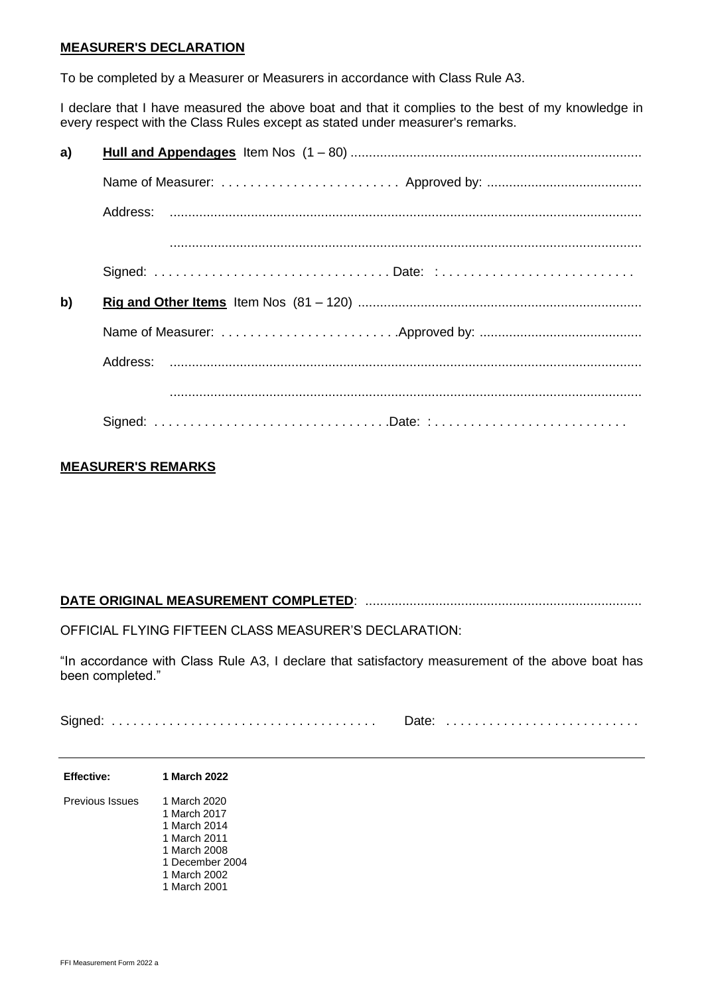#### **MEASURER'S DECLARATION**

To be completed by a Measurer or Measurers in accordance with Class Rule A3.

I declare that I have measured the above boat and that it complies to the best of my knowledge in every respect with the Class Rules except as stated under measurer's remarks.

| a) |                 |  |  |  |  |  |  |
|----|-----------------|--|--|--|--|--|--|
|    |                 |  |  |  |  |  |  |
|    |                 |  |  |  |  |  |  |
|    |                 |  |  |  |  |  |  |
|    | Signed: Date: : |  |  |  |  |  |  |
| b) |                 |  |  |  |  |  |  |
|    |                 |  |  |  |  |  |  |
|    |                 |  |  |  |  |  |  |
|    |                 |  |  |  |  |  |  |
|    | Signed: Date: : |  |  |  |  |  |  |

#### **MEASURER'S REMARKS**

#### **DATE ORIGINAL MEASUREMENT COMPLETED**: ...........................................................................

OFFICIAL FLYING FIFTEEN CLASS MEASURER'S DECLARATION:

"In accordance with Class Rule A3, I declare that satisfactory measurement of the above boat has been completed."

Signed: . . . . . . . . . . . . . . . . . . . . . . . . . . . . . . . . . . . . . Date: . . . . . . . . . . . . . . . . . . . . . . . . . . .

| <b>Effective:</b>      | 1 March 2022                                                                                                                    |
|------------------------|---------------------------------------------------------------------------------------------------------------------------------|
| <b>Previous Issues</b> | 1 March 2020<br>1 March 2017<br>1 March 2014<br>1 March 2011<br>1 March 2008<br>1 December 2004<br>1 March 2002<br>1 March 2001 |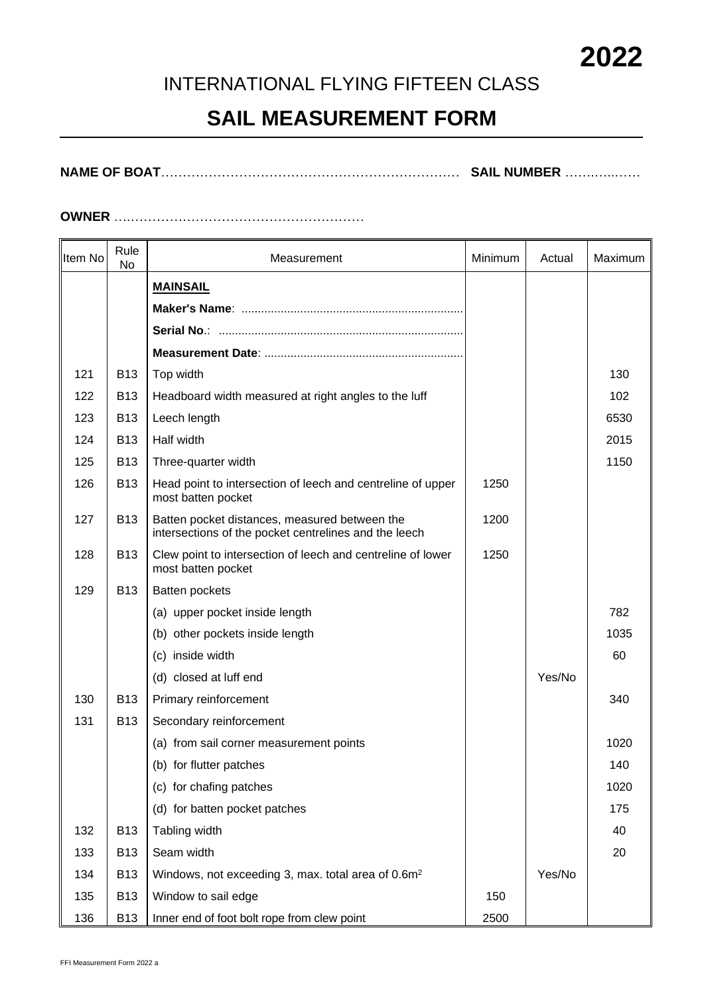# **2022**

### INTERNATIONAL FLYING FIFTEEN CLASS

# **SAIL MEASUREMENT FORM**

**NAME OF BOAT**…………………………………………………………… **SAIL NUMBER** …….…..……

#### **OWNER** ….………………………………………………

| Item No | Rule<br>No | Measurement                                                                                            | Minimum<br>Actual |        | Maximum |
|---------|------------|--------------------------------------------------------------------------------------------------------|-------------------|--------|---------|
|         |            | <b>MAINSAIL</b>                                                                                        |                   |        |         |
|         |            |                                                                                                        |                   |        |         |
|         |            |                                                                                                        |                   |        |         |
|         |            |                                                                                                        |                   |        |         |
| 121     | <b>B13</b> | Top width                                                                                              |                   |        | 130     |
| 122     | <b>B13</b> | Headboard width measured at right angles to the luff                                                   |                   |        | 102     |
| 123     | <b>B13</b> | Leech length                                                                                           |                   |        | 6530    |
| 124     | <b>B13</b> | Half width                                                                                             |                   |        | 2015    |
| 125     | <b>B13</b> | Three-quarter width                                                                                    |                   |        | 1150    |
| 126     | <b>B13</b> | Head point to intersection of leech and centreline of upper<br>most batten pocket                      | 1250              |        |         |
| 127     | <b>B13</b> | Batten pocket distances, measured between the<br>intersections of the pocket centrelines and the leech | 1200              |        |         |
| 128     | <b>B13</b> | Clew point to intersection of leech and centreline of lower<br>most batten pocket                      | 1250              |        |         |
| 129     | <b>B13</b> | Batten pockets                                                                                         |                   |        |         |
|         |            | (a) upper pocket inside length                                                                         |                   |        | 782     |
|         |            | (b) other pockets inside length                                                                        |                   |        | 1035    |
|         |            | (c) inside width                                                                                       |                   |        | 60      |
|         |            | (d) closed at luff end                                                                                 |                   | Yes/No |         |
| 130     | <b>B13</b> | Primary reinforcement                                                                                  |                   |        | 340     |
| 131     | <b>B13</b> | Secondary reinforcement                                                                                |                   |        |         |
|         |            | (a) from sail corner measurement points                                                                |                   |        | 1020    |
|         |            | (b) for flutter patches                                                                                |                   |        | 140     |
|         |            | (c) for chafing patches                                                                                |                   |        | 1020    |
|         |            | (d) for batten pocket patches                                                                          |                   |        | 175     |
| 132     | <b>B13</b> | Tabling width                                                                                          |                   |        | 40      |
| 133     | <b>B13</b> | Seam width                                                                                             |                   |        | 20      |
| 134     | <b>B13</b> | Windows, not exceeding 3, max. total area of 0.6m <sup>2</sup>                                         |                   | Yes/No |         |
| 135     | <b>B13</b> | Window to sail edge                                                                                    | 150               |        |         |
| 136     | <b>B13</b> | Inner end of foot bolt rope from clew point                                                            | 2500              |        |         |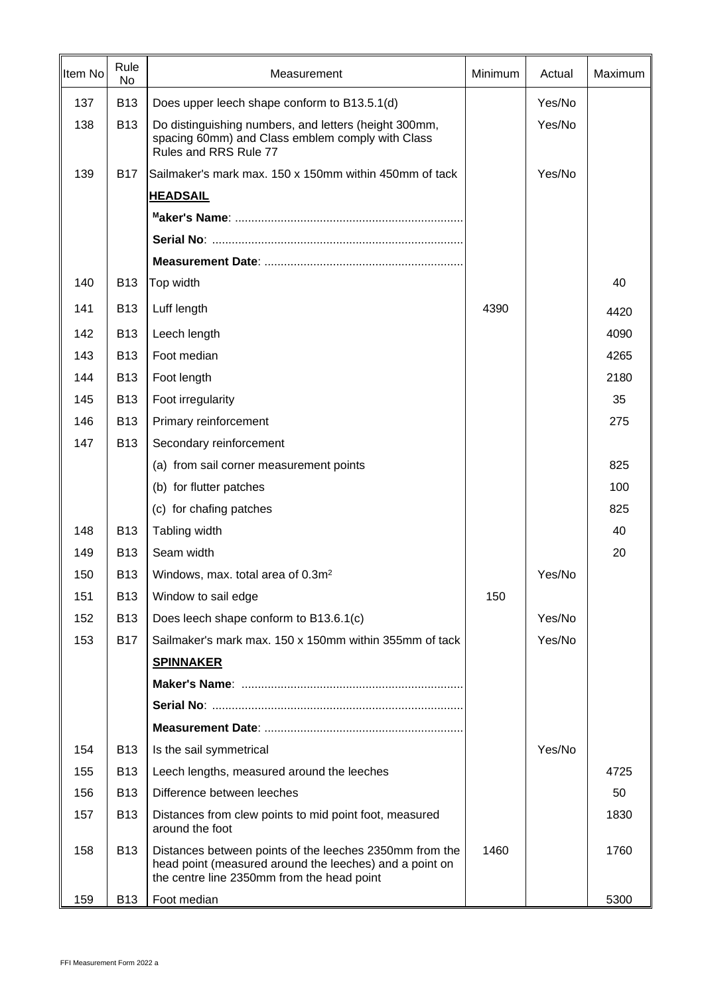| Item No | Rule<br>No | Measurement                                                                                                                                                      | Minimum | Actual | Maximum |
|---------|------------|------------------------------------------------------------------------------------------------------------------------------------------------------------------|---------|--------|---------|
| 137     | <b>B13</b> | Does upper leech shape conform to B13.5.1(d)                                                                                                                     |         | Yes/No |         |
| 138     | <b>B13</b> | Do distinguishing numbers, and letters (height 300mm,<br>spacing 60mm) and Class emblem comply with Class<br>Rules and RRS Rule 77                               |         | Yes/No |         |
| 139     | <b>B17</b> | Sailmaker's mark max. 150 x 150mm within 450mm of tack                                                                                                           |         | Yes/No |         |
|         |            | <b>HEADSAIL</b>                                                                                                                                                  |         |        |         |
|         |            |                                                                                                                                                                  |         |        |         |
|         |            |                                                                                                                                                                  |         |        |         |
|         |            |                                                                                                                                                                  |         |        |         |
| 140     | <b>B13</b> | Top width                                                                                                                                                        |         |        | 40      |
| 141     | <b>B13</b> | Luff length                                                                                                                                                      | 4390    |        | 4420    |
| 142     | <b>B13</b> | Leech length                                                                                                                                                     |         |        | 4090    |
| 143     | <b>B13</b> | Foot median                                                                                                                                                      |         |        | 4265    |
| 144     | <b>B13</b> | Foot length                                                                                                                                                      |         |        | 2180    |
| 145     | <b>B13</b> | Foot irregularity                                                                                                                                                |         |        | 35      |
| 146     | <b>B13</b> | Primary reinforcement                                                                                                                                            |         |        | 275     |
| 147     | <b>B13</b> | Secondary reinforcement                                                                                                                                          |         |        |         |
|         |            | (a) from sail corner measurement points                                                                                                                          |         |        | 825     |
|         |            | (b) for flutter patches                                                                                                                                          |         |        | 100     |
|         |            | (c) for chafing patches                                                                                                                                          |         |        | 825     |
| 148     | <b>B13</b> | Tabling width                                                                                                                                                    |         |        | 40      |
| 149     | <b>B13</b> | Seam width                                                                                                                                                       |         |        | 20      |
| 150     | <b>B13</b> | Windows, max. total area of 0.3m <sup>2</sup>                                                                                                                    |         | Yes/No |         |
| 151     | <b>B13</b> | Window to sail edge                                                                                                                                              | 150     |        |         |
| 152     | <b>B13</b> | Does leech shape conform to B13.6.1(c)                                                                                                                           |         | Yes/No |         |
| 153     | <b>B17</b> | Sailmaker's mark max. 150 x 150mm within 355mm of tack                                                                                                           |         | Yes/No |         |
|         |            | <b>SPINNAKER</b>                                                                                                                                                 |         |        |         |
|         |            |                                                                                                                                                                  |         |        |         |
|         |            |                                                                                                                                                                  |         |        |         |
|         |            |                                                                                                                                                                  |         |        |         |
| 154     | <b>B13</b> | Is the sail symmetrical                                                                                                                                          |         | Yes/No |         |
| 155     | <b>B13</b> | Leech lengths, measured around the leeches                                                                                                                       |         |        | 4725    |
| 156     | <b>B13</b> | Difference between leeches                                                                                                                                       |         |        | 50      |
| 157     | <b>B13</b> | Distances from clew points to mid point foot, measured<br>around the foot                                                                                        |         |        | 1830    |
| 158     | <b>B13</b> | Distances between points of the leeches 2350mm from the<br>head point (measured around the leeches) and a point on<br>the centre line 2350mm from the head point | 1460    |        | 1760    |
| 159     | <b>B13</b> | Foot median                                                                                                                                                      |         |        | 5300    |